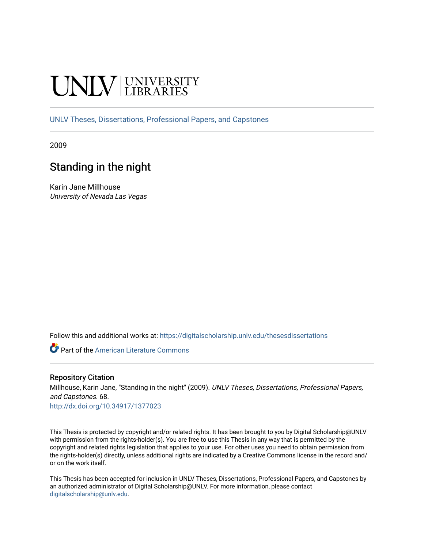# **INIVERSITY**

[UNLV Theses, Dissertations, Professional Papers, and Capstones](https://digitalscholarship.unlv.edu/thesesdissertations)

2009

## Standing in the night

Karin Jane Millhouse University of Nevada Las Vegas

Follow this and additional works at: [https://digitalscholarship.unlv.edu/thesesdissertations](https://digitalscholarship.unlv.edu/thesesdissertations?utm_source=digitalscholarship.unlv.edu%2Fthesesdissertations%2F68&utm_medium=PDF&utm_campaign=PDFCoverPages)

Part of the [American Literature Commons](http://network.bepress.com/hgg/discipline/441?utm_source=digitalscholarship.unlv.edu%2Fthesesdissertations%2F68&utm_medium=PDF&utm_campaign=PDFCoverPages)

#### Repository Citation

Millhouse, Karin Jane, "Standing in the night" (2009). UNLV Theses, Dissertations, Professional Papers, and Capstones. 68.

<http://dx.doi.org/10.34917/1377023>

This Thesis is protected by copyright and/or related rights. It has been brought to you by Digital Scholarship@UNLV with permission from the rights-holder(s). You are free to use this Thesis in any way that is permitted by the copyright and related rights legislation that applies to your use. For other uses you need to obtain permission from the rights-holder(s) directly, unless additional rights are indicated by a Creative Commons license in the record and/ or on the work itself.

This Thesis has been accepted for inclusion in UNLV Theses, Dissertations, Professional Papers, and Capstones by an authorized administrator of Digital Scholarship@UNLV. For more information, please contact [digitalscholarship@unlv.edu](mailto:digitalscholarship@unlv.edu).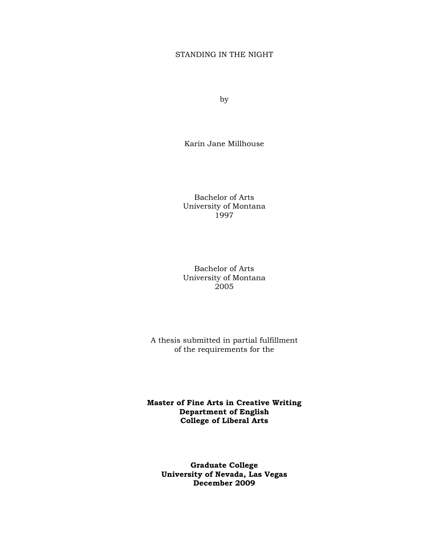## STANDING IN THE NIGHT

by

Karin Jane Millhouse

Bachelor of Arts University of Montana 1997

Bachelor of Arts University of Montana 2005

A thesis submitted in partial fulfillment of the requirements for the

**Master of Fine Arts in Creative Writing Department of English College of Liberal Arts** 

**Graduate College University of Nevada, Las Vegas December 2009**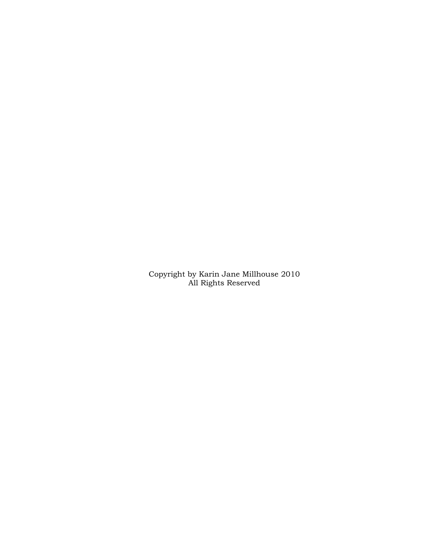Copyright by Karin Jane Millhouse 2010 All Rights Reserved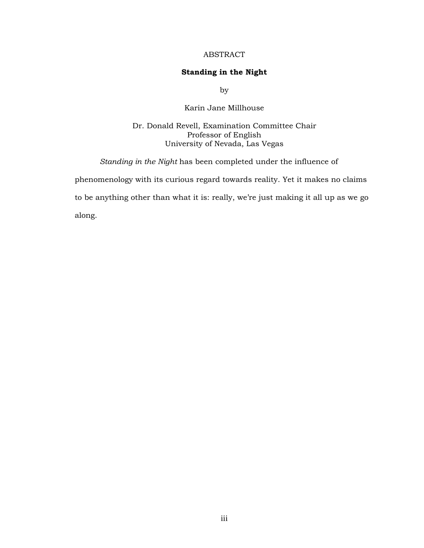## ABSTRACT

## **Standing in the Night**

by

## Karin Jane Millhouse

## Dr. Donald Revell, Examination Committee Chair Professor of English University of Nevada, Las Vegas

*Standing in the Night* has been completed under the influence of

phenomenology with its curious regard towards reality. Yet it makes no claims

to be anything other than what it is: really, we're just making it all up as we go

along.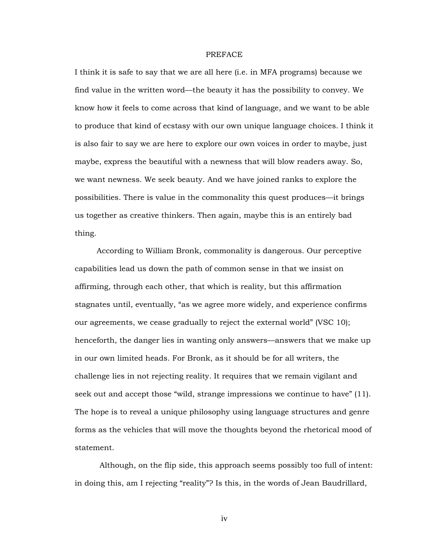#### PREFACE

I think it is safe to say that we are all here (i.e. in MFA programs) because we find value in the written word—the beauty it has the possibility to convey. We know how it feels to come across that kind of language, and we want to be able to produce that kind of ecstasy with our own unique language choices. I think it is also fair to say we are here to explore our own voices in order to maybe, just maybe, express the beautiful with a newness that will blow readers away. So, we want newness. We seek beauty. And we have joined ranks to explore the possibilities. There is value in the commonality this quest produces—it brings us together as creative thinkers. Then again, maybe this is an entirely bad thing.

 According to William Bronk, commonality is dangerous. Our perceptive capabilities lead us down the path of common sense in that we insist on affirming, through each other, that which is reality, but this affirmation stagnates until, eventually, "as we agree more widely, and experience confirms our agreements, we cease gradually to reject the external world" (VSC 10); henceforth, the danger lies in wanting only answers—answers that we make up in our own limited heads. For Bronk, as it should be for all writers, the challenge lies in not rejecting reality. It requires that we remain vigilant and seek out and accept those "wild, strange impressions we continue to have" (11). The hope is to reveal a unique philosophy using language structures and genre forms as the vehicles that will move the thoughts beyond the rhetorical mood of statement.

 Although, on the flip side, this approach seems possibly too full of intent: in doing this, am I rejecting "reality"? Is this, in the words of Jean Baudrillard,

iv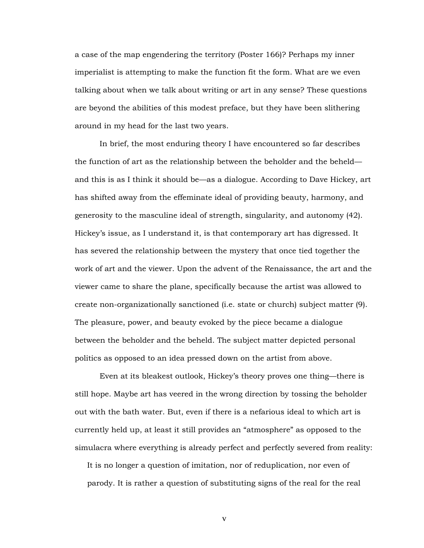a case of the map engendering the territory (Poster 166)? Perhaps my inner imperialist is attempting to make the function fit the form. What are we even talking about when we talk about writing or art in any sense? These questions are beyond the abilities of this modest preface, but they have been slithering around in my head for the last two years.

In brief, the most enduring theory I have encountered so far describes the function of art as the relationship between the beholder and the beheld and this is as I think it should be—as a dialogue. According to Dave Hickey, art has shifted away from the effeminate ideal of providing beauty, harmony, and generosity to the masculine ideal of strength, singularity, and autonomy (42). Hickey's issue, as I understand it, is that contemporary art has digressed. It has severed the relationship between the mystery that once tied together the work of art and the viewer. Upon the advent of the Renaissance, the art and the viewer came to share the plane, specifically because the artist was allowed to create non-organizationally sanctioned (i.e. state or church) subject matter (9). The pleasure, power, and beauty evoked by the piece became a dialogue between the beholder and the beheld. The subject matter depicted personal politics as opposed to an idea pressed down on the artist from above.

 Even at its bleakest outlook, Hickey's theory proves one thing—there is still hope. Maybe art has veered in the wrong direction by tossing the beholder out with the bath water. But, even if there is a nefarious ideal to which art is currently held up, at least it still provides an "atmosphere" as opposed to the simulacra where everything is already perfect and perfectly severed from reality:

It is no longer a question of imitation, nor of reduplication, nor even of parody. It is rather a question of substituting signs of the real for the real

v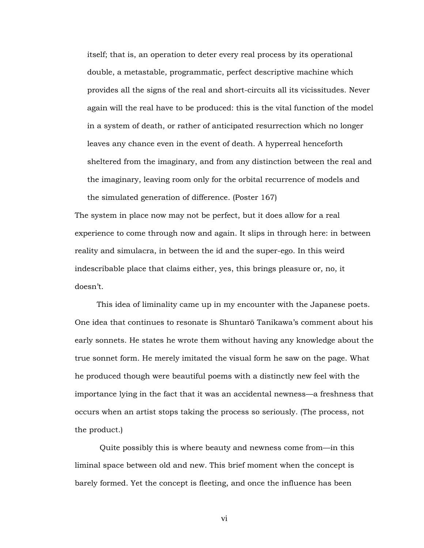itself; that is, an operation to deter every real process by its operational double, a metastable, programmatic, perfect descriptive machine which provides all the signs of the real and short-circuits all its vicissitudes. Never again will the real have to be produced: this is the vital function of the model in a system of death, or rather of anticipated resurrection which no longer leaves any chance even in the event of death. A hyperreal henceforth sheltered from the imaginary, and from any distinction between the real and the imaginary, leaving room only for the orbital recurrence of models and the simulated generation of difference. (Poster 167)

The system in place now may not be perfect, but it does allow for a real experience to come through now and again. It slips in through here: in between reality and simulacra, in between the id and the super-ego. In this weird indescribable place that claims either, yes, this brings pleasure or, no, it doesn't.

 This idea of liminality came up in my encounter with the Japanese poets. One idea that continues to resonate is Shuntarō Tanikawa's comment about his early sonnets. He states he wrote them without having any knowledge about the true sonnet form. He merely imitated the visual form he saw on the page. What he produced though were beautiful poems with a distinctly new feel with the importance lying in the fact that it was an accidental newness—a freshness that occurs when an artist stops taking the process so seriously. (The process, not the product.)

Quite possibly this is where beauty and newness come from—in this liminal space between old and new. This brief moment when the concept is barely formed. Yet the concept is fleeting, and once the influence has been

vi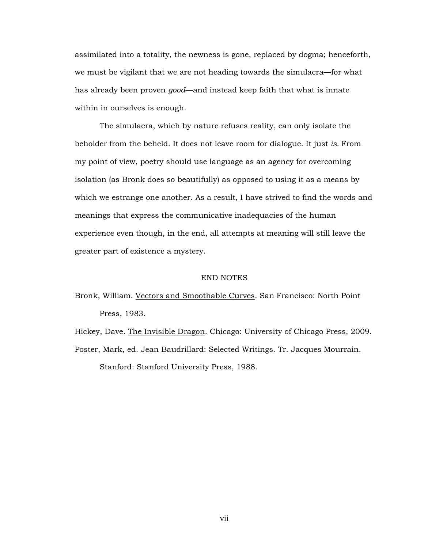assimilated into a totality, the newness is gone, replaced by dogma; henceforth, we must be vigilant that we are not heading towards the simulacra—for what has already been proven *good*—and instead keep faith that what is innate within in ourselves is enough.

 The simulacra, which by nature refuses reality, can only isolate the beholder from the beheld. It does not leave room for dialogue. It just *is.* From my point of view, poetry should use language as an agency for overcoming isolation (as Bronk does so beautifully) as opposed to using it as a means by which we estrange one another. As a result, I have strived to find the words and meanings that express the communicative inadequacies of the human experience even though, in the end, all attempts at meaning will still leave the greater part of existence a mystery.

#### END NOTES

Bronk, William. Vectors and Smoothable Curves. San Francisco: North Point Press, 1983.

Hickey, Dave. The Invisible Dragon. Chicago: University of Chicago Press, 2009. Poster, Mark, ed. Jean Baudrillard: Selected Writings. Tr. Jacques Mourrain. Stanford: Stanford University Press, 1988.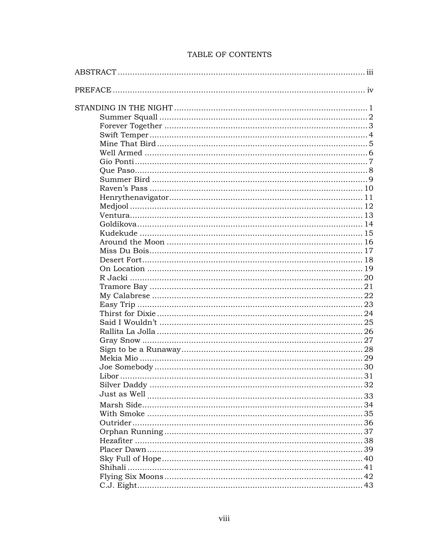| Libor. | $\dots$ 31 |
|--------|------------|
|        | 32         |
|        |            |
|        |            |
|        |            |
|        |            |
|        |            |
|        |            |
|        |            |
|        |            |
|        |            |
|        |            |
|        |            |

## TABLE OF CONTENTS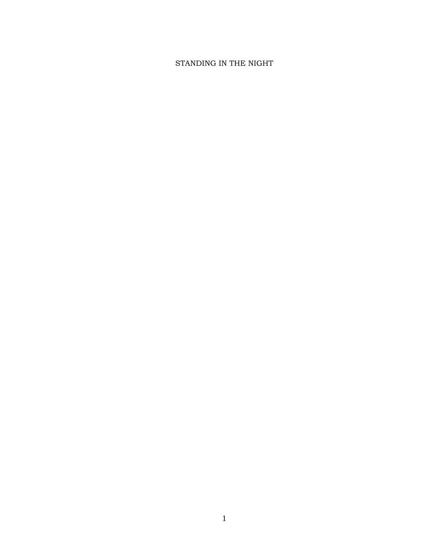## STANDING IN THE NIGHT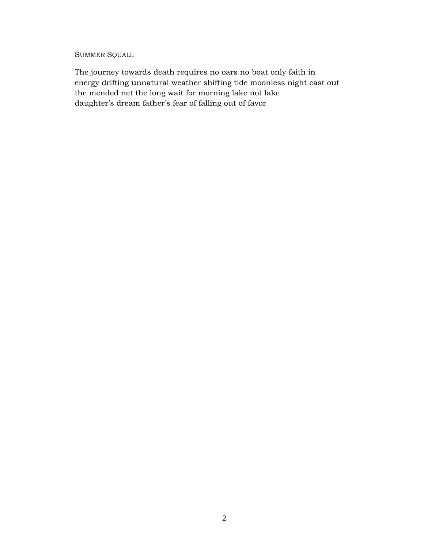SUMMER SQUALL

The journey towards death requires no oars no boat only faith in energy drifting unnatural weather shifting tide moonless night cast out the mended net the long wait for morning lake not lake daughter's dream father's fear of falling out of favor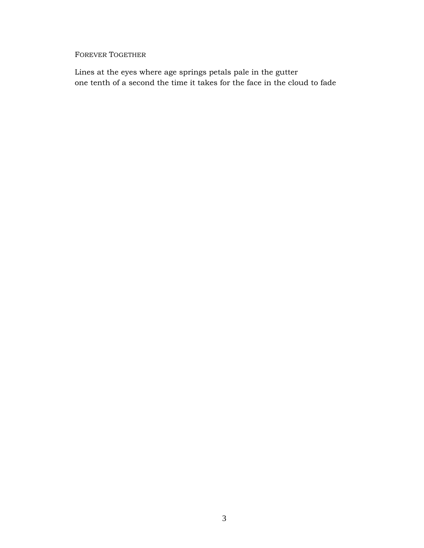## FOREVER TOGETHER

Lines at the eyes where age springs petals pale in the gutter one tenth of a second the time it takes for the face in the cloud to fade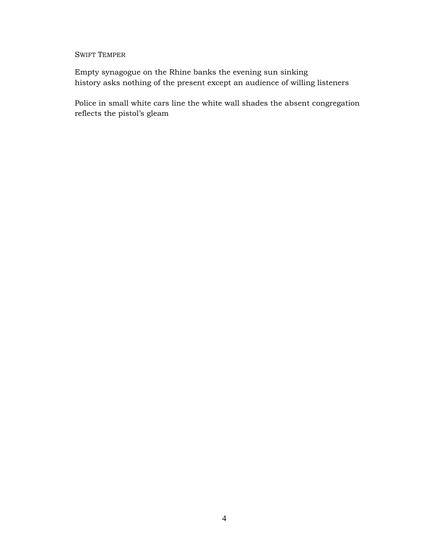## SWIFT TEMPER

Empty synagogue on the Rhine banks the evening sun sinking history asks nothing of the present except an audience of willing listeners

Police in small white cars line the white wall shades the absent congregation reflects the pistol's gleam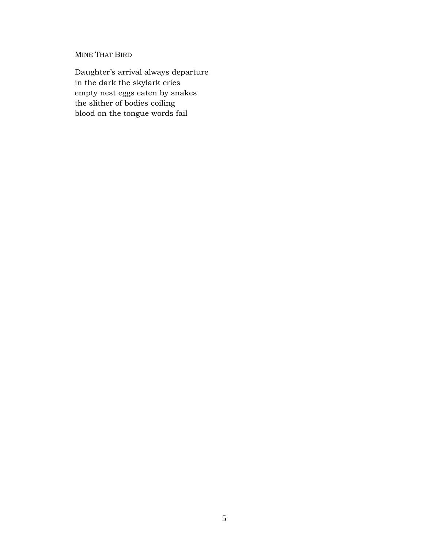MINE THAT BIRD

Daughter's arrival always departure in the dark the skylark cries empty nest eggs eaten by snakes the slither of bodies coiling blood on the tongue words fail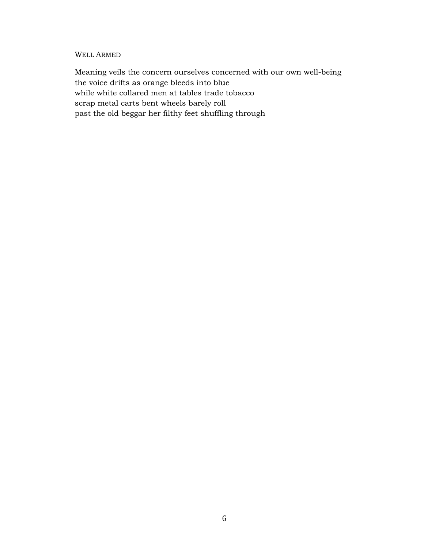## WELL ARMED

Meaning veils the concern ourselves concerned with our own well-being the voice drifts as orange bleeds into blue while white collared men at tables trade tobacco scrap metal carts bent wheels barely roll past the old beggar her filthy feet shuffling through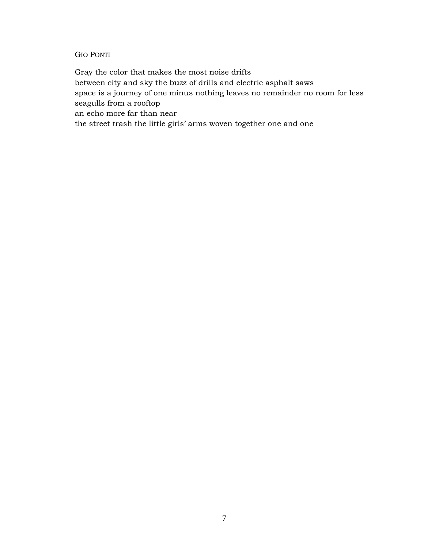## GIO PONTI

Gray the color that makes the most noise drifts between city and sky the buzz of drills and electric asphalt saws space is a journey of one minus nothing leaves no remainder no room for less seagulls from a rooftop an echo more far than near the street trash the little girls' arms woven together one and one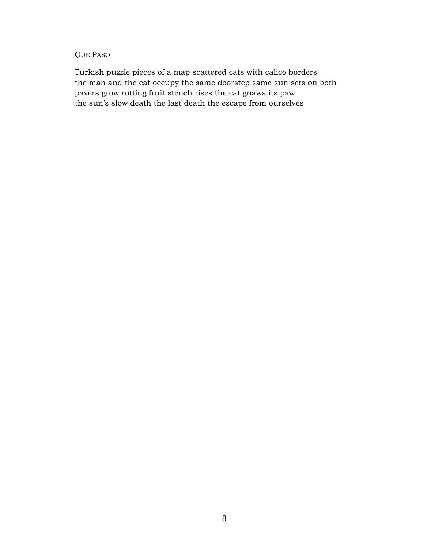## QUE PASO

Turkish puzzle pieces of a map scattered cats with calico borders the man and the cat occupy the same doorstep same sun sets on both pavers grow rotting fruit stench rises the cat gnaws its paw the sun's slow death the last death the escape from ourselves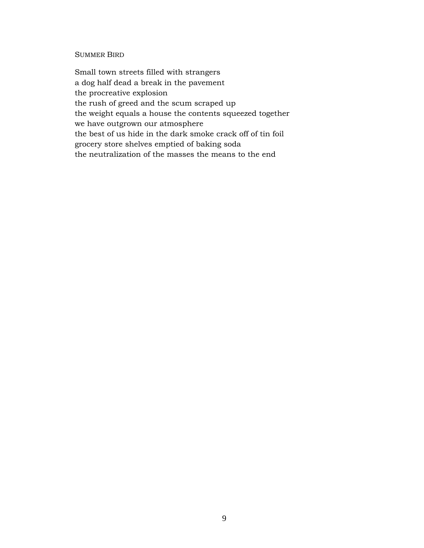## SUMMER BIRD

Small town streets filled with strangers a dog half dead a break in the pavement the procreative explosion the rush of greed and the scum scraped up the weight equals a house the contents squeezed together we have outgrown our atmosphere the best of us hide in the dark smoke crack off of tin foil grocery store shelves emptied of baking soda the neutralization of the masses the means to the end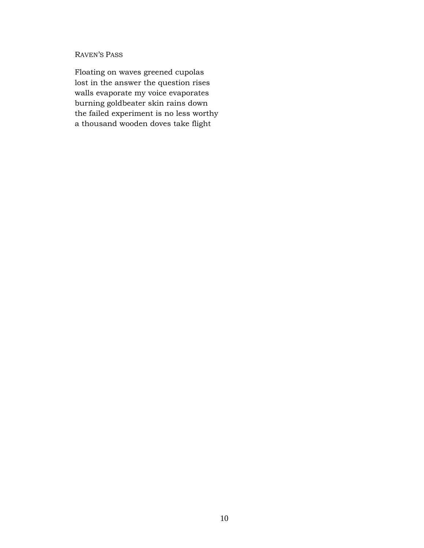## RAVEN'S PASS

Floating on waves greened cupolas lost in the answer the question rises walls evaporate my voice evaporates burning goldbeater skin rains down the failed experiment is no less worthy a thousand wooden doves take flight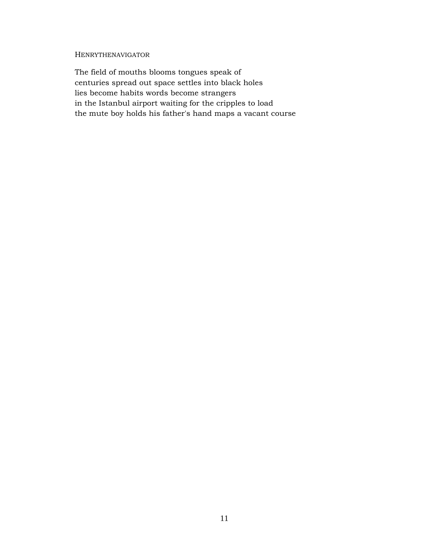## HENRYTHENAVIGATOR

The field of mouths blooms tongues speak of centuries spread out space settles into black holes lies become habits words become strangers in the Istanbul airport waiting for the cripples to load the mute boy holds his father's hand maps a vacant course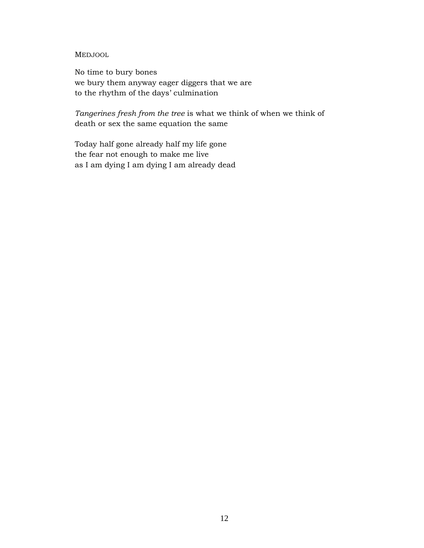MEDJOOL

No time to bury bones we bury them anyway eager diggers that we are to the rhythm of the days' culmination

*Tangerines fresh from the tree* is what we think of when we think of death or sex the same equation the same

Today half gone already half my life gone the fear not enough to make me live as I am dying I am dying I am already dead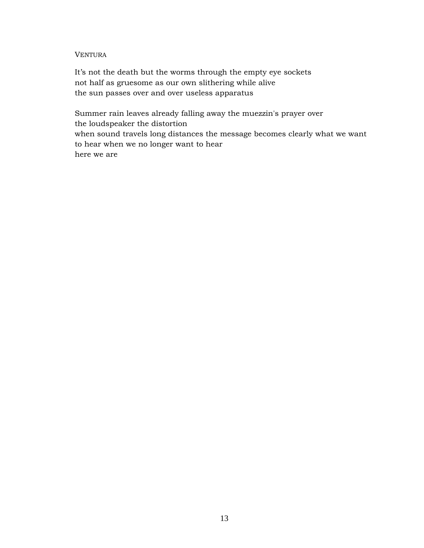## VENTURA

It's not the death but the worms through the empty eye sockets not half as gruesome as our own slithering while alive the sun passes over and over useless apparatus

Summer rain leaves already falling away the muezzin's prayer over the loudspeaker the distortion when sound travels long distances the message becomes clearly what we want to hear when we no longer want to hear here we are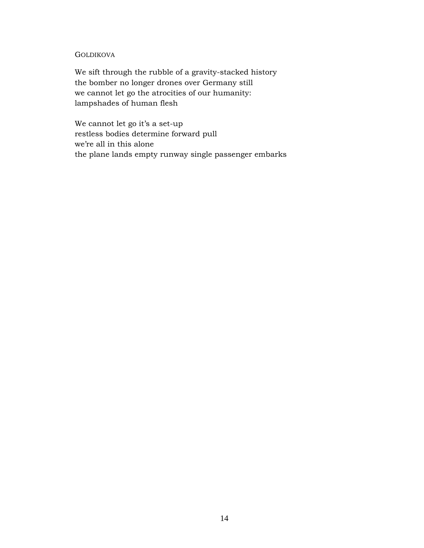## **GOLDIKOVA**

We sift through the rubble of a gravity-stacked history the bomber no longer drones over Germany still we cannot let go the atrocities of our humanity: lampshades of human flesh

We cannot let go it's a set-up restless bodies determine forward pull we're all in this alone the plane lands empty runway single passenger embarks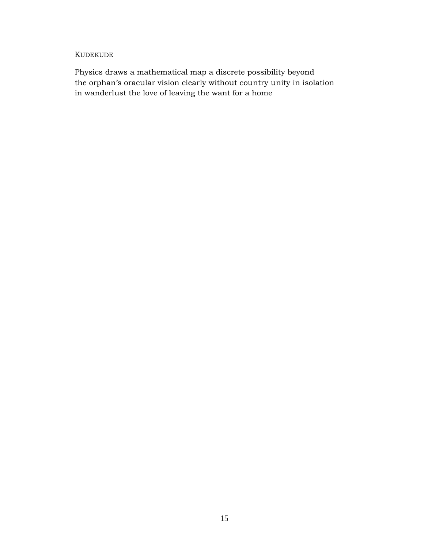## KUDEKUDE

Physics draws a mathematical map a discrete possibility beyond the orphan's oracular vision clearly without country unity in isolation in wanderlust the love of leaving the want for a home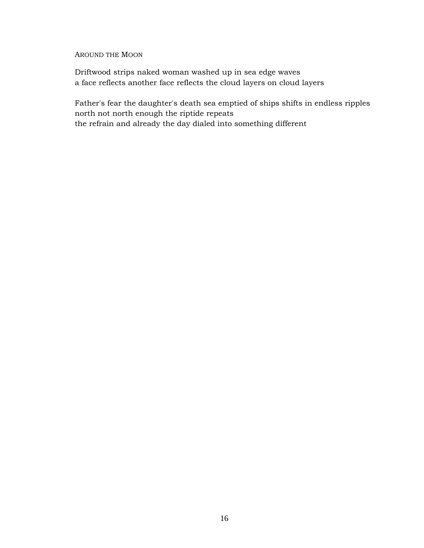## AROUND THE MOON

Driftwood strips naked woman washed up in sea edge waves a face reflects another face reflects the cloud layers on cloud layers

Father's fear the daughter's death sea emptied of ships shifts in endless ripples north not north enough the riptide repeats the refrain and already the day dialed into something different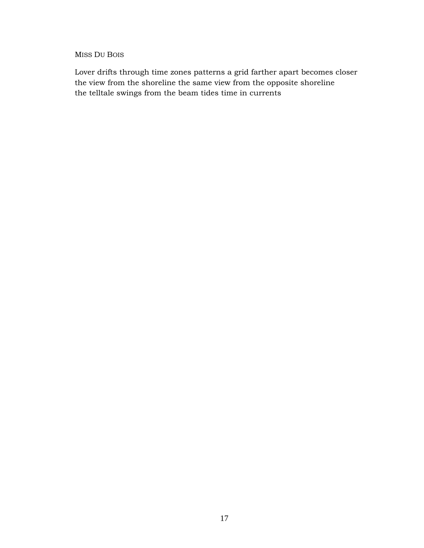## MISS DU BOIS

Lover drifts through time zones patterns a grid farther apart becomes closer the view from the shoreline the same view from the opposite shoreline the telltale swings from the beam tides time in currents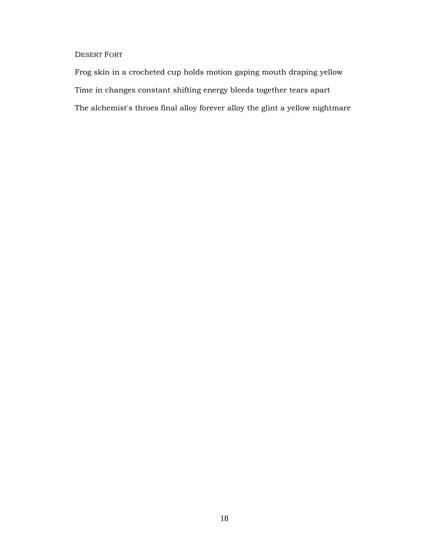## DESERT FORT

Frog skin in a crocheted cup holds motion gaping mouth draping yellow Time in changes constant shifting energy bleeds together tears apart The alchemist's throes final alloy forever alloy the glint a yellow nightmare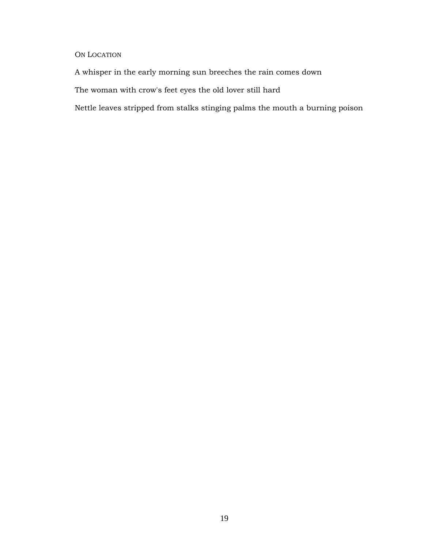## ON LOCATION

A whisper in the early morning sun breeches the rain comes down

The woman with crow's feet eyes the old lover still hard

Nettle leaves stripped from stalks stinging palms the mouth a burning poison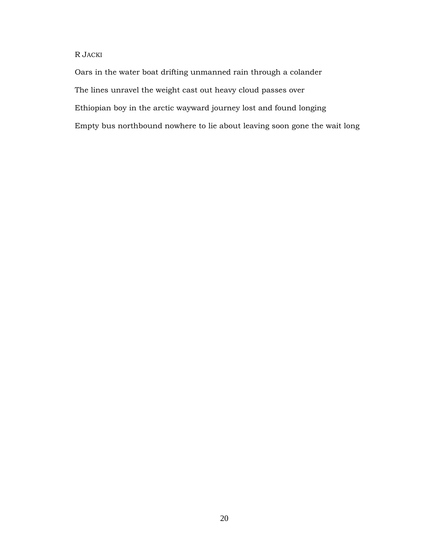## R JACKI

Oars in the water boat drifting unmanned rain through a colander The lines unravel the weight cast out heavy cloud passes over Ethiopian boy in the arctic wayward journey lost and found longing Empty bus northbound nowhere to lie about leaving soon gone the wait long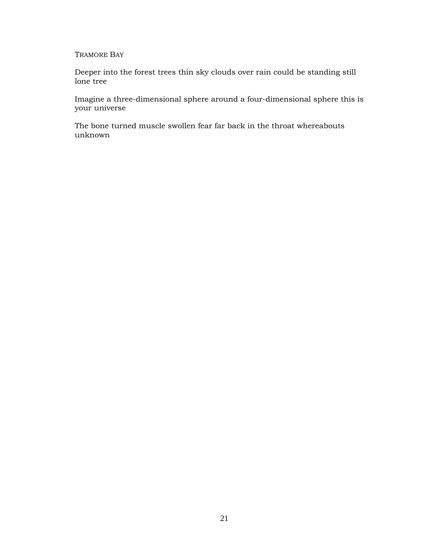## TRAMORE BAY

Deeper into the forest trees thin sky clouds over rain could be standing still lone tree

Imagine a three-dimensional sphere around a four-dimensional sphere this is your universe

The bone turned muscle swollen fear far back in the throat whereabouts unknown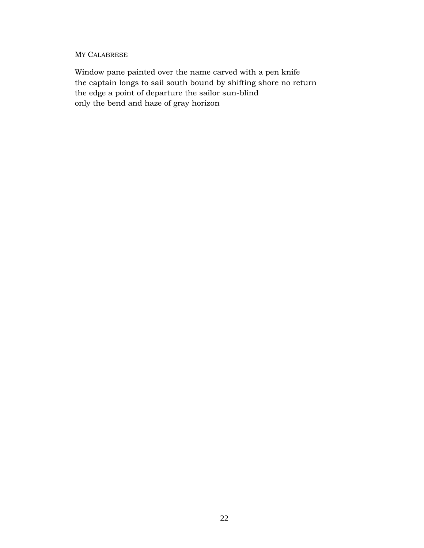## MY CALABRESE

Window pane painted over the name carved with a pen knife the captain longs to sail south bound by shifting shore no return the edge a point of departure the sailor sun-blind only the bend and haze of gray horizon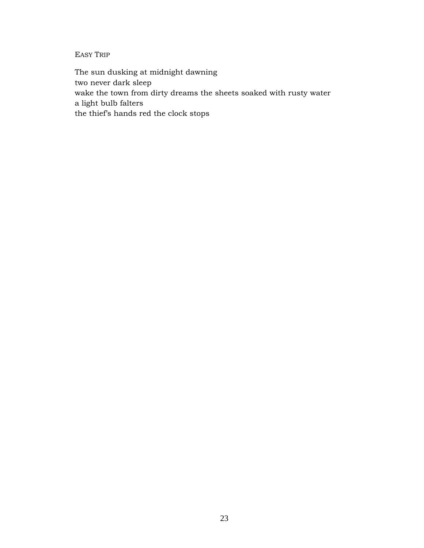EASY TRIP

The sun dusking at midnight dawning two never dark sleep wake the town from dirty dreams the sheets soaked with rusty water a light bulb falters the thief's hands red the clock stops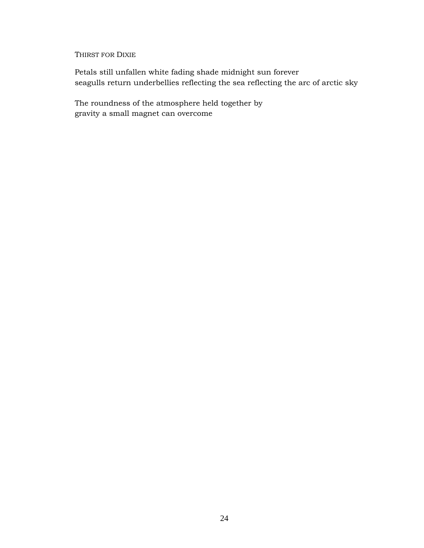## THIRST FOR DIXIE

Petals still unfallen white fading shade midnight sun forever seagulls return underbellies reflecting the sea reflecting the arc of arctic sky

The roundness of the atmosphere held together by gravity a small magnet can overcome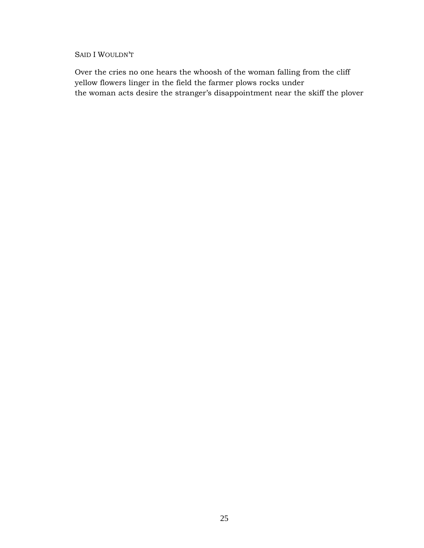## SAID I WOULDN'T

Over the cries no one hears the whoosh of the woman falling from the cliff yellow flowers linger in the field the farmer plows rocks under the woman acts desire the stranger's disappointment near the skiff the plover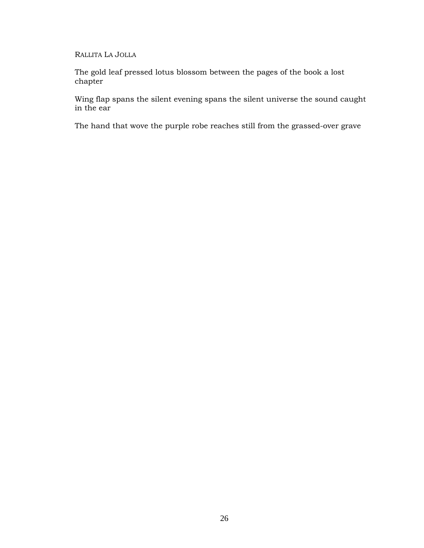## RALLITA LA JOLLA

The gold leaf pressed lotus blossom between the pages of the book a lost chapter

Wing flap spans the silent evening spans the silent universe the sound caught in the ear

The hand that wove the purple robe reaches still from the grassed-over grave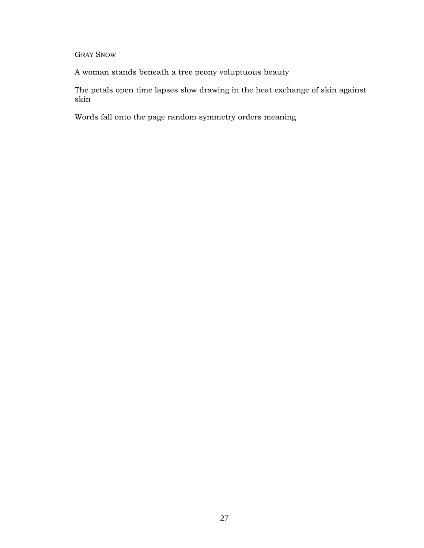## GRAY SNOW

A woman stands beneath a tree peony voluptuous beauty

The petals open time lapses slow drawing in the heat exchange of skin against skin

Words fall onto the page random symmetry orders meaning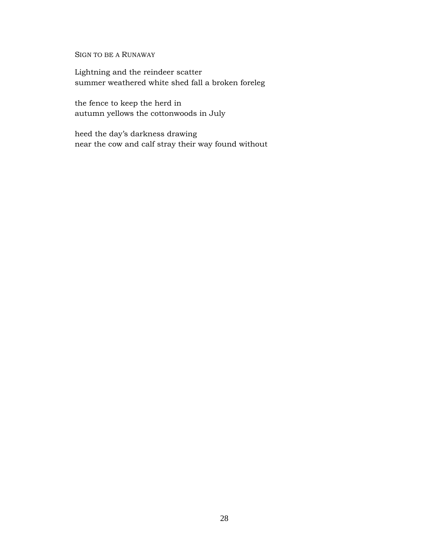SIGN TO BE A RUNAWAY

Lightning and the reindeer scatter summer weathered white shed fall a broken foreleg

the fence to keep the herd in autumn yellows the cottonwoods in July

heed the day's darkness drawing near the cow and calf stray their way found without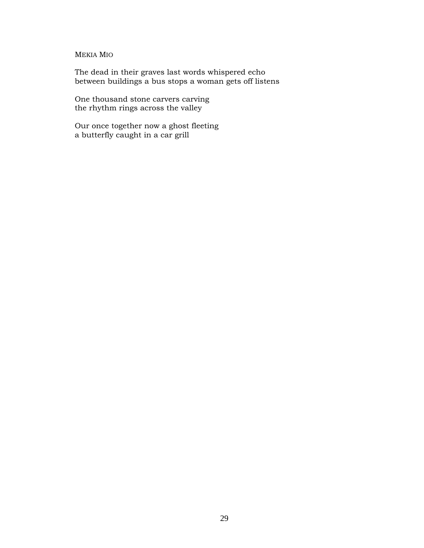#### MEKIA MIO

The dead in their graves last words whispered echo between buildings a bus stops a woman gets off listens

One thousand stone carvers carving the rhythm rings across the valley

Our once together now a ghost fleeting a butterfly caught in a car grill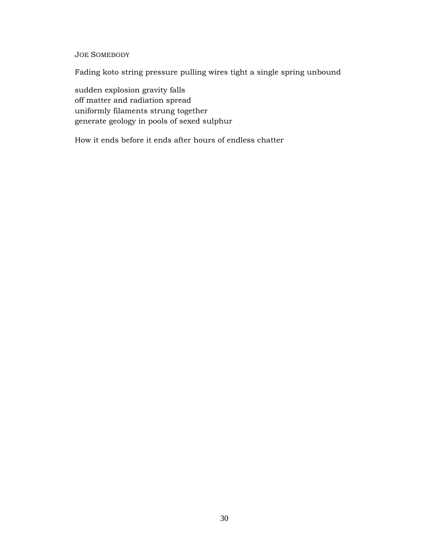## JOE SOMEBODY

Fading koto string pressure pulling wires tight a single spring unbound

sudden explosion gravity falls off matter and radiation spread uniformly filaments strung together generate geology in pools of sexed sulphur

How it ends before it ends after hours of endless chatter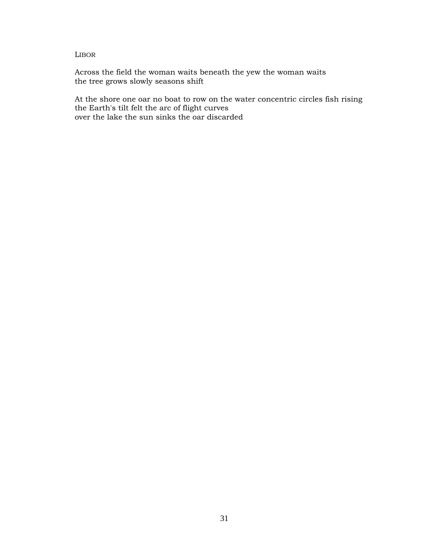#### LIBOR

Across the field the woman waits beneath the yew the woman waits the tree grows slowly seasons shift

At the shore one oar no boat to row on the water concentric circles fish rising the Earth's tilt felt the arc of flight curves over the lake the sun sinks the oar discarded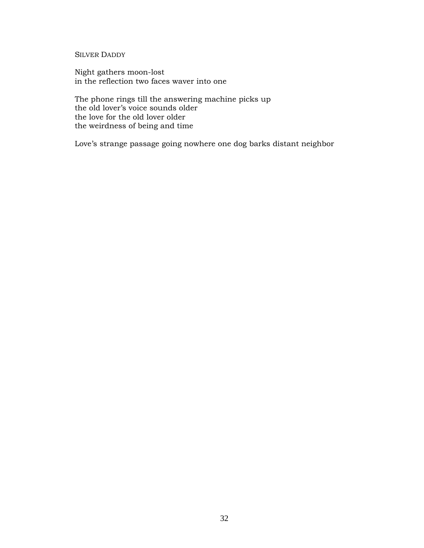#### SILVER DADDY

Night gathers moon-lost in the reflection two faces waver into one

The phone rings till the answering machine picks up the old lover's voice sounds older the love for the old lover older the weirdness of being and time

Love's strange passage going nowhere one dog barks distant neighbor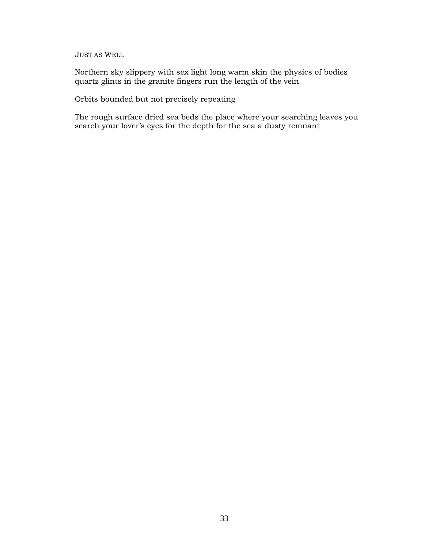JUST AS WELL

Northern sky slippery with sex light long warm skin the physics of bodies quartz glints in the granite fingers run the length of the vein

Orbits bounded but not precisely repeating

The rough surface dried sea beds the place where your searching leaves you search your lover's eyes for the depth for the sea a dusty remnant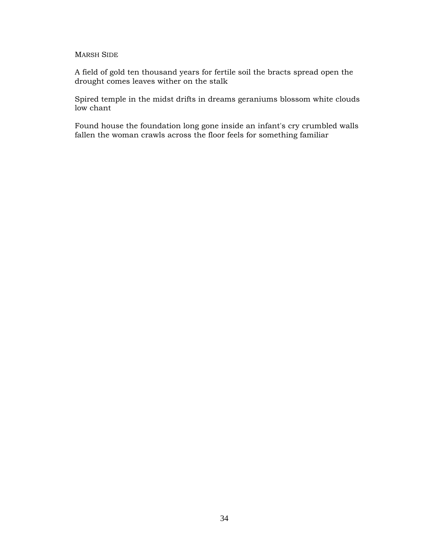#### MARSH SIDE

A field of gold ten thousand years for fertile soil the bracts spread open the drought comes leaves wither on the stalk

Spired temple in the midst drifts in dreams geraniums blossom white clouds low chant

Found house the foundation long gone inside an infant's cry crumbled walls fallen the woman crawls across the floor feels for something familiar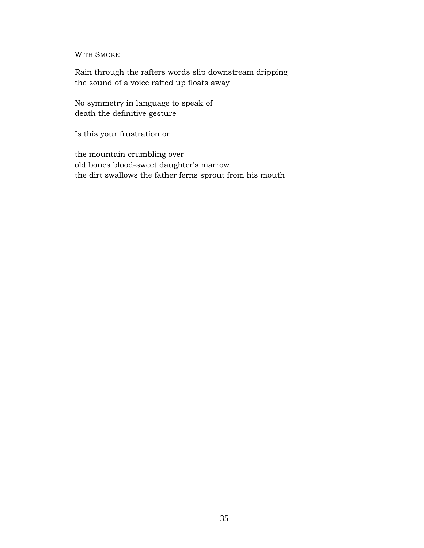## WITH SMOKE

Rain through the rafters words slip downstream dripping the sound of a voice rafted up floats away

No symmetry in language to speak of death the definitive gesture

Is this your frustration or

the mountain crumbling over old bones blood-sweet daughter's marrow the dirt swallows the father ferns sprout from his mouth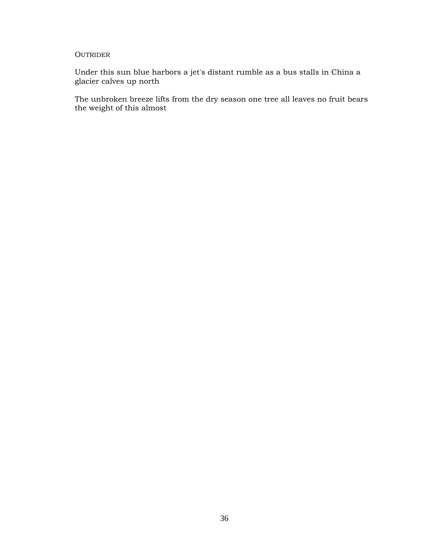#### **OUTRIDER**

Under this sun blue harbors a jet's distant rumble as a bus stalls in China a glacier calves up north

The unbroken breeze lifts from the dry season one tree all leaves no fruit bears the weight of this almost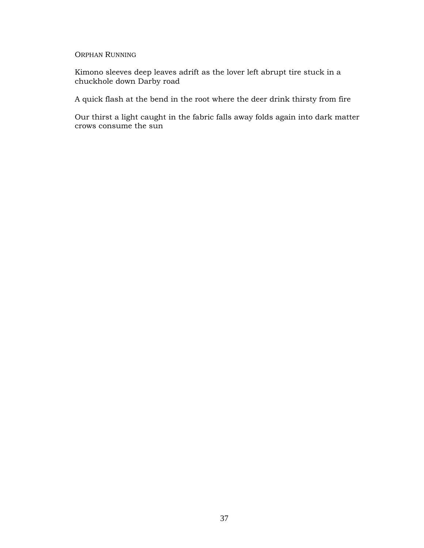#### ORPHAN RUNNING

Kimono sleeves deep leaves adrift as the lover left abrupt tire stuck in a chuckhole down Darby road

A quick flash at the bend in the root where the deer drink thirsty from fire

Our thirst a light caught in the fabric falls away folds again into dark matter crows consume the sun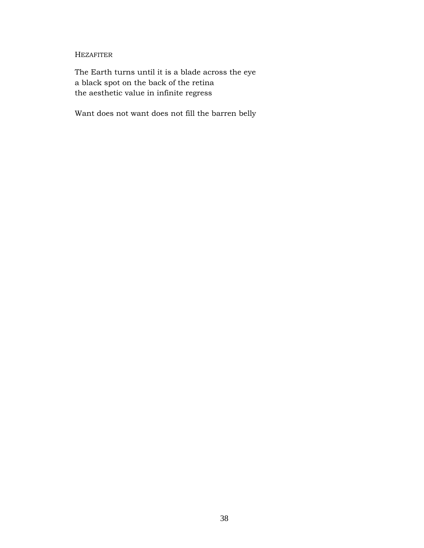## HEZAFITER

The Earth turns until it is a blade across the eye a black spot on the back of the retina the aesthetic value in infinite regress

Want does not want does not fill the barren belly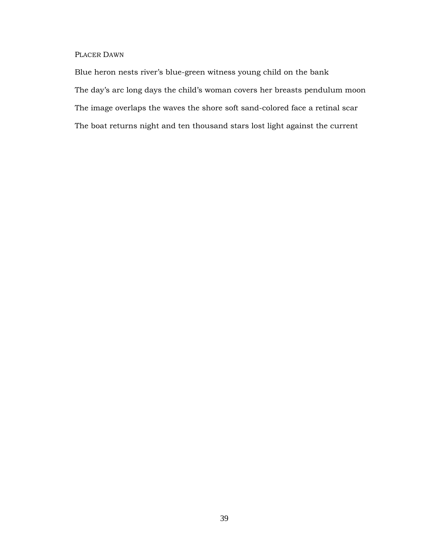## PLACER DAWN

Blue heron nests river's blue-green witness young child on the bank The day's arc long days the child's woman covers her breasts pendulum moon The image overlaps the waves the shore soft sand-colored face a retinal scar The boat returns night and ten thousand stars lost light against the current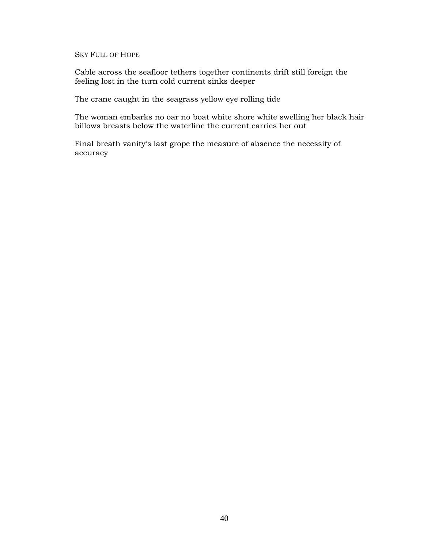SKY FULL OF HOPE

Cable across the seafloor tethers together continents drift still foreign the feeling lost in the turn cold current sinks deeper

The crane caught in the seagrass yellow eye rolling tide

The woman embarks no oar no boat white shore white swelling her black hair billows breasts below the waterline the current carries her out

Final breath vanity's last grope the measure of absence the necessity of accuracy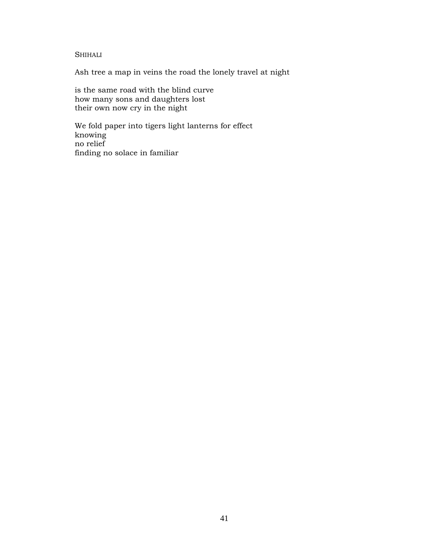#### SHIHALI

Ash tree a map in veins the road the lonely travel at night

is the same road with the blind curve how many sons and daughters lost their own now cry in the night

We fold paper into tigers light lanterns for effect knowing no relief finding no solace in familiar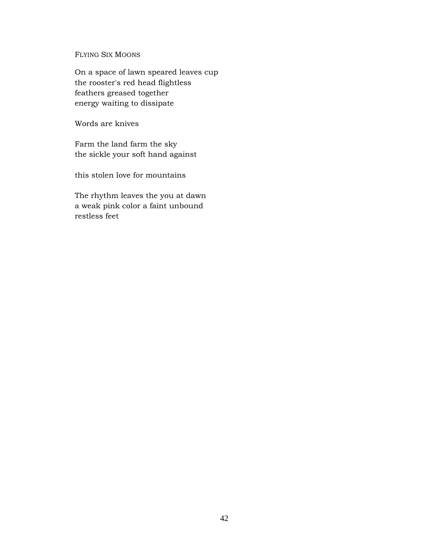FLYING SIX MOONS

On a space of lawn speared leaves cup the rooster's red head flightless feathers greased together energy waiting to dissipate

Words are knives

Farm the land farm the sky the sickle your soft hand against

this stolen love for mountains

The rhythm leaves the you at dawn a weak pink color a faint unbound restless feet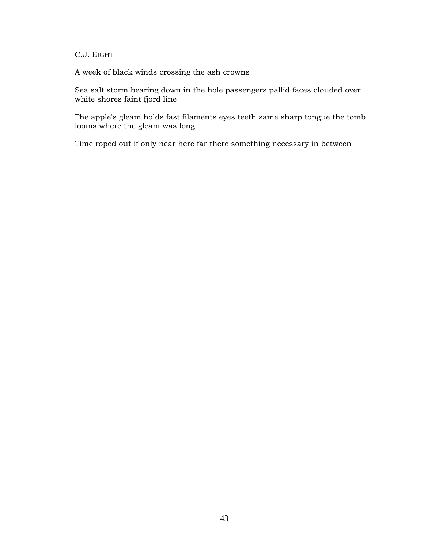#### C.J. EIGHT

A week of black winds crossing the ash crowns

Sea salt storm bearing down in the hole passengers pallid faces clouded over white shores faint fjord line

The apple's gleam holds fast filaments eyes teeth same sharp tongue the tomb looms where the gleam was long

Time roped out if only near here far there something necessary in between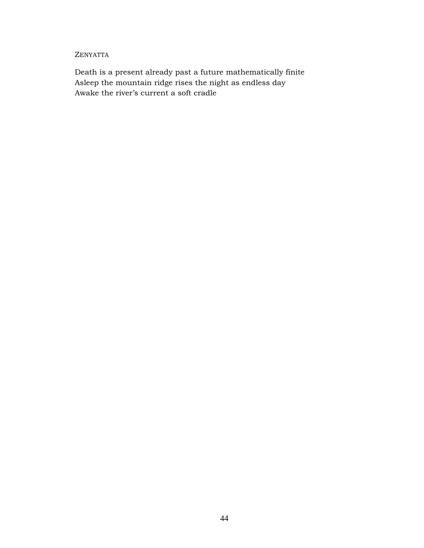## ZENYATTA

Death is a present already past a future mathematically finite Asleep the mountain ridge rises the night as endless day Awake the river's current a soft cradle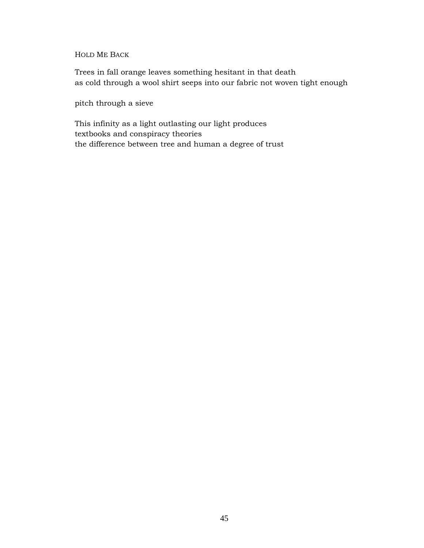HOLD ME BACK

Trees in fall orange leaves something hesitant in that death as cold through a wool shirt seeps into our fabric not woven tight enough

pitch through a sieve

This infinity as a light outlasting our light produces textbooks and conspiracy theories the difference between tree and human a degree of trust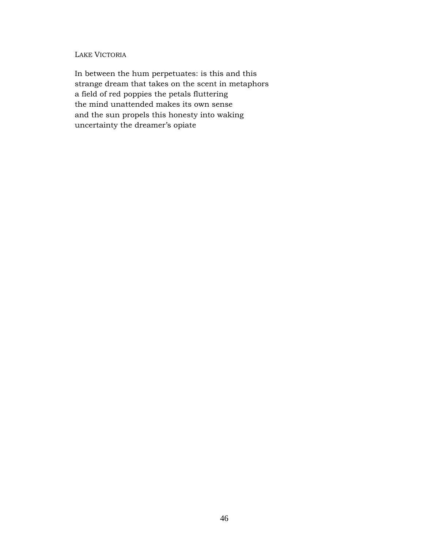LAKE VICTORIA

In between the hum perpetuates: is this and this strange dream that takes on the scent in metaphors a field of red poppies the petals fluttering the mind unattended makes its own sense and the sun propels this honesty into waking uncertainty the dreamer's opiate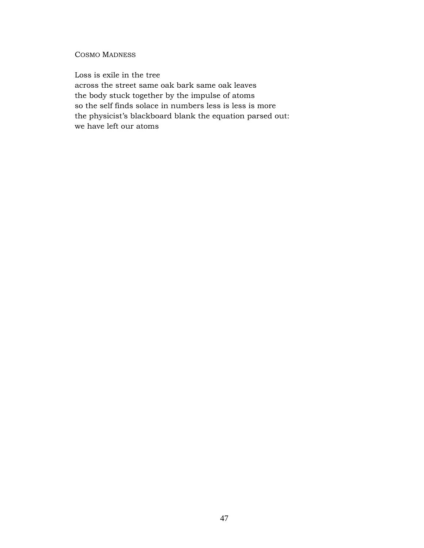## COSMO MADNESS

Loss is exile in the tree across the street same oak bark same oak leaves the body stuck together by the impulse of atoms so the self finds solace in numbers less is less is more the physicist's blackboard blank the equation parsed out: we have left our atoms